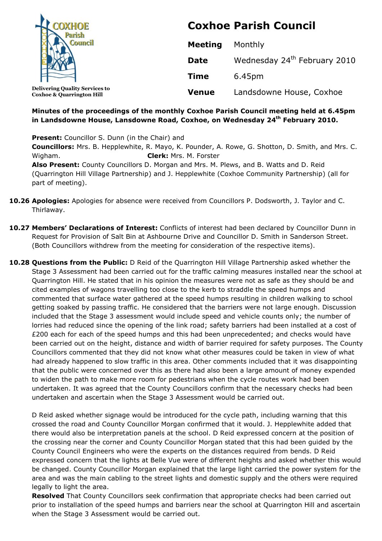| <b>COXHOE</b>                                                                 | <b>Coxhoe Parish Council</b> |                                          |
|-------------------------------------------------------------------------------|------------------------------|------------------------------------------|
|                                                                               | <b>Meeting</b>               | Monthly                                  |
|                                                                               | <b>Date</b>                  | Wednesday 24 <sup>th</sup> February 2010 |
|                                                                               | <b>Time</b>                  | 6.45pm                                   |
| <b>Delivering Quality Services to</b><br><b>Coxhoe &amp; Quarrington Hill</b> | <b>Venue</b>                 | Landsdowne House, Coxhoe                 |

### **Minutes of the proceedings of the monthly Coxhoe Parish Council meeting held at 6.45pm in Landsdowne House, Lansdowne Road, Coxhoe, on Wednesday 24 th February 2010.**

**Present:** Councillor S. Dunn (in the Chair) and **Councillors:** Mrs. B. Hepplewhite, R. Mayo, K. Pounder, A. Rowe, G. Shotton, D. Smith, and Mrs. C. Wigham. **Clerk:** Mrs. M. Forster **Also Present:** County Councillors D. Morgan and Mrs. M. Plews, and B. Watts and D. Reid (Quarrington Hill Village Partnership) and J. Hepplewhite (Coxhoe Community Partnership) (all for part of meeting).

- **10.26 Apologies:** Apologies for absence were received from Councillors P. Dodsworth, J. Taylor and C. Thirlaway.
- **10.27 Members' Declarations of Interest:** Conflicts of interest had been declared by Councillor Dunn in Request for Provision of Salt Bin at Ashbourne Drive and Councillor D. Smith in Sanderson Street. (Both Councillors withdrew from the meeting for consideration of the respective items).
- **10.28 Questions from the Public:** D Reid of the Quarrington Hill Village Partnership asked whether the Stage 3 Assessment had been carried out for the traffic calming measures installed near the school at Quarrington Hill. He stated that in his opinion the measures were not as safe as they should be and cited examples of wagons travelling too close to the kerb to straddle the speed humps and commented that surface water gathered at the speed humps resulting in children walking to school getting soaked by passing traffic. He considered that the barriers were not large enough. Discussion included that the Stage 3 assessment would include speed and vehicle counts only; the number of lorries had reduced since the opening of the link road; safety barriers had been installed at a cost of £200 each for each of the speed humps and this had been unprecedented; and checks would have been carried out on the height, distance and width of barrier required for safety purposes. The County Councillors commented that they did not know what other measures could be taken in view of what had already happened to slow traffic in this area. Other comments included that it was disappointing that the public were concerned over this as there had also been a large amount of money expended to widen the path to make more room for pedestrians when the cycle routes work had been undertaken. It was agreed that the County Councillors confirm that the necessary checks had been undertaken and ascertain when the Stage 3 Assessment would be carried out.

D Reid asked whether signage would be introduced for the cycle path, including warning that this crossed the road and County Councillor Morgan confirmed that it would. J. Hepplewhite added that there would also be interpretation panels at the school. D Reid expressed concern at the position of the crossing near the corner and County Councillor Morgan stated that this had been guided by the County Council Engineers who were the experts on the distances required from bends. D Reid expressed concern that the lights at Belle Vue were of different heights and asked whether this would be changed. County Councillor Morgan explained that the large light carried the power system for the area and was the main cabling to the street lights and domestic supply and the others were required legally to light the area.

**Resolved** That County Councillors seek confirmation that appropriate checks had been carried out prior to installation of the speed humps and barriers near the school at Quarrington Hill and ascertain when the Stage 3 Assessment would be carried out.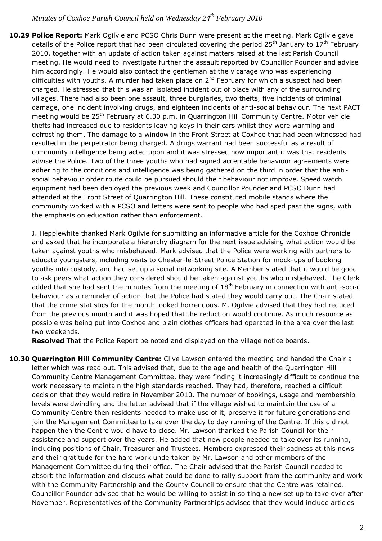**10.29 Police Report:** Mark Ogilvie and PCSO Chris Dunn were present at the meeting. Mark Ogilvie gave details of the Police report that had been circulated covering the period 25<sup>th</sup> January to 17<sup>th</sup> February 2010, together with an update of action taken against matters raised at the last Parish Council meeting. He would need to investigate further the assault reported by Councillor Pounder and advise him accordingly. He would also contact the gentleman at the vicarage who was experiencing difficulties with youths. A murder had taken place on  $2<sup>nd</sup>$  February for which a suspect had been charged. He stressed that this was an isolated incident out of place with any of the surrounding villages. There had also been one assault, three burglaries, two thefts, five incidents of criminal damage, one incident involving drugs, and eighteen incidents of anti-social behaviour. The next PACT meeting would be 25<sup>th</sup> February at 6.30 p.m. in Quarrington Hill Community Centre. Motor vehicle thefts had increased due to residents leaving keys in their cars whilst they were warming and defrosting them. The damage to a window in the Front Street at Coxhoe that had been witnessed had resulted in the perpetrator being charged. A drugs warrant had been successful as a result of community intelligence being acted upon and it was stressed how important it was that residents advise the Police. Two of the three youths who had signed acceptable behaviour agreements were adhering to the conditions and intelligence was being gathered on the third in order that the antisocial behaviour order route could be pursued should their behaviour not improve. Speed watch equipment had been deployed the previous week and Councillor Pounder and PCSO Dunn had attended at the Front Street of Quarrington Hill. These constituted mobile stands where the community worked with a PCSO and letters were sent to people who had sped past the signs, with the emphasis on education rather than enforcement.

J. Hepplewhite thanked Mark Ogilvie for submitting an informative article for the Coxhoe Chronicle and asked that he incorporate a hierarchy diagram for the next issue advising what action would be taken against youths who misbehaved. Mark advised that the Police were working with partners to educate youngsters, including visits to Chester-le-Street Police Station for mock-ups of booking youths into custody, and had set up a social networking site. A Member stated that it would be good to ask peers what action they considered should be taken against youths who misbehaved. The Clerk added that she had sent the minutes from the meeting of  $18<sup>th</sup>$  February in connection with anti-social behaviour as a reminder of action that the Police had stated they would carry out. The Chair stated that the crime statistics for the month looked horrendous. M. Ogilvie advised that they had reduced from the previous month and it was hoped that the reduction would continue. As much resource as possible was being put into Coxhoe and plain clothes officers had operated in the area over the last two weekends.

**Resolved** That the Police Report be noted and displayed on the village notice boards.

**10.30 Quarrington Hill Community Centre:** Clive Lawson entered the meeting and handed the Chair a letter which was read out. This advised that, due to the age and health of the Quarrington Hill Community Centre Management Committee, they were finding it increasingly difficult to continue the work necessary to maintain the high standards reached. They had, therefore, reached a difficult decision that they would retire in November 2010. The number of bookings, usage and membership levels were dwindling and the letter advised that if the village wished to maintain the use of a Community Centre then residents needed to make use of it, preserve it for future generations and join the Management Committee to take over the day to day running of the Centre. If this did not happen then the Centre would have to close. Mr. Lawson thanked the Parish Council for their assistance and support over the years. He added that new people needed to take over its running, including positions of Chair, Treasurer and Trustees. Members expressed their sadness at this news and their gratitude for the hard work undertaken by Mr. Lawson and other members of the Management Committee during their office. The Chair advised that the Parish Council needed to absorb the information and discuss what could be done to rally support from the community and work with the Community Partnership and the County Council to ensure that the Centre was retained. Councillor Pounder advised that he would be willing to assist in sorting a new set up to take over after November. Representatives of the Community Partnerships advised that they would include articles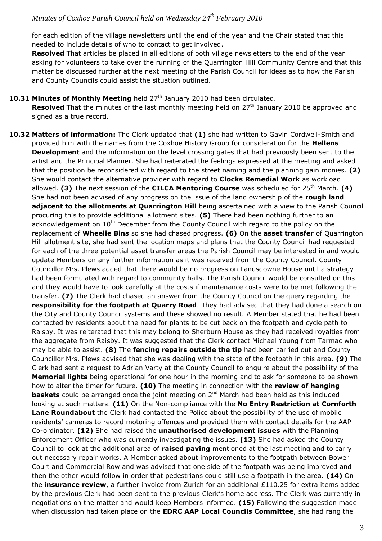for each edition of the village newsletters until the end of the year and the Chair stated that this needed to include details of who to contact to get involved.

**Resolved** That articles be placed in all editions of both village newsletters to the end of the year asking for volunteers to take over the running of the Quarrington Hill Community Centre and that this matter be discussed further at the next meeting of the Parish Council for ideas as to how the Parish and County Councils could assist the situation outlined.

### **10.31 Minutes of Monthly Meeting** held 27<sup>th</sup> January 2010 had been circulated.

**Resolved** That the minutes of the last monthly meeting held on 27<sup>th</sup> January 2010 be approved and signed as a true record.

**10.32 Matters of information:** The Clerk updated that **(1)** she had written to Gavin Cordwell-Smith and provided him with the names from the Coxhoe History Group for consideration for the **Hellens Development** and the information on the level crossing gates that had previously been sent to the artist and the Principal Planner. She had reiterated the feelings expressed at the meeting and asked that the position be reconsidered with regard to the street naming and the planning gain monies. **(2)** She would contact the alternative provider with regard to **Clocks Remedial Work** as workload allowed. **(3)** The next session of the **CILCA Mentoring Course** was scheduled for 25<sup>th</sup> March. **(4)** She had not been advised of any progress on the issue of the land ownership of the **rough land adjacent to the allotments at Quarrington Hill** being ascertained with a view to the Parish Council procuring this to provide additional allotment sites. **(5)** There had been nothing further to an acknowledgement on 10<sup>th</sup> December from the County Council with regard to the policy on the replacement of **Wheelie Bins** so she had chased progress. **(6)** On the **asset transfer** of Quarrington Hill allotment site, she had sent the location maps and plans that the County Council had requested for each of the three potential asset transfer areas the Parish Council may be interested in and would update Members on any further information as it was received from the County Council. County Councillor Mrs. Plews added that there would be no progress on Landsdowne House until a strategy had been formulated with regard to community halls. The Parish Council would be consulted on this and they would have to look carefully at the costs if maintenance costs were to be met following the transfer. **(7)** The Clerk had chased an answer from the County Council on the query regarding the **responsibility for the footpath at Quarry Road**. They had advised that they had done a search on the City and County Council systems and these showed no result. A Member stated that he had been contacted by residents about the need for plants to be cut back on the footpath and cycle path to Raisby. It was reiterated that this may belong to Sherburn House as they had received royalties from the aggregate from Raisby. It was suggested that the Clerk contact Michael Young from Tarmac who may be able to assist. **(8)** The **fencing repairs outside the tip** had been carried out and County Councillor Mrs. Plews advised that she was dealing with the state of the footpath in this area. **(9)** The Clerk had sent a request to Adrian Varty at the County Council to enquire about the possibility of the **Memorial lights** being operational for one hour in the morning and to ask for someone to be shown how to alter the timer for future. **(10)** The meeting in connection with the **review of hanging baskets** could be arranged once the joint meeting on 2<sup>nd</sup> March had been held as this included looking at such matters. **(11)** On the Non-compliance with the **No Entry Restriction at Cornforth Lane Roundabout** the Clerk had contacted the Police about the possibility of the use of mobile residents' cameras to record motoring offences and provided them with contact details for the AAP Co-ordinator. **(12)** She had raised the **unauthorised development issues** with the Planning Enforcement Officer who was currently investigating the issues. **(13)** She had asked the County Council to look at the additional area of **raised paving** mentioned at the last meeting and to carry out necessary repair works. A Member asked about improvements to the footpath between Bower Court and Commercial Row and was advised that one side of the footpath was being improved and then the other would follow in order that pedestrians could still use a footpath in the area. **(14)** On the **insurance review**, a further invoice from Zurich for an additional £110.25 for extra items added by the previous Clerk had been sent to the previous Clerk's home address. The Clerk was currently in negotiations on the matter and would keep Members informed. **(15)** Following the suggestion made when discussion had taken place on the **EDRC AAP Local Councils Committee**, she had rang the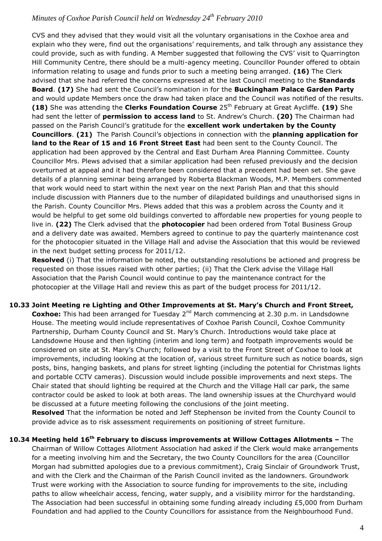CVS and they advised that they would visit all the voluntary organisations in the Coxhoe area and explain who they were, find out the organisations' requirements, and talk through any assistance they could provide, such as with funding. A Member suggested that following the CVS' visit to Quarrington Hill Community Centre, there should be a multi-agency meeting. Councillor Pounder offered to obtain information relating to usage and funds prior to such a meeting being arranged. **(16)** The Clerk advised that she had referred the concerns expressed at the last Council meeting to the **Standards Board**. **(17)** She had sent the Council's nomination in for the **Buckingham Palace Garden Party** and would update Members once the draw had taken place and the Council was notified of the results. **(18)** She was attending the **Clerks Foundation Course** 25<sup>th</sup> February at Great Aycliffe. **(19)** She had sent the letter of **permission to access land** to St. Andrew's Church. **(20)** The Chairman had passed on the Parish Council's gratitude for the **excellent work undertaken by the County Councillors**. **(21)** The Parish Council's objections in connection with the **planning application for land to the Rear of 15 and 16 Front Street East** had been sent to the County Council. The application had been approved by the Central and East Durham Area Planning Committee. County Councillor Mrs. Plews advised that a similar application had been refused previously and the decision overturned at appeal and it had therefore been considered that a precedent had been set. She gave details of a planning seminar being arranged by Roberta Blackman Woods, M.P. Members commented that work would need to start within the next year on the next Parish Plan and that this should include discussion with Planners due to the number of dilapidated buildings and unauthorised signs in the Parish. County Councillor Mrs. Plews added that this was a problem across the County and it would be helpful to get some old buildings converted to affordable new properties for young people to live in. **(22)** The Clerk advised that the **photocopier** had been ordered from Total Business Group and a delivery date was awaited. Members agreed to continue to pay the quarterly maintenance cost for the photocopier situated in the Village Hall and advise the Association that this would be reviewed in the next budget setting process for 2011/12.

**Resolved** (i) That the information be noted, the outstanding resolutions be actioned and progress be requested on those issues raised with other parties; (ii) That the Clerk advise the Village Hall Association that the Parish Council would continue to pay the maintenance contract for the photocopier at the Village Hall and review this as part of the budget process for 2011/12.

**10.33 Joint Meeting re Lighting and Other Improvements at St. Mary's Church and Front Street, Coxhoe:** This had been arranged for Tuesday 2<sup>nd</sup> March commencing at 2.30 p.m. in Landsdowne House. The meeting would include representatives of Coxhoe Parish Council, Coxhoe Community Partnership, Durham County Council and St. Mary's Church. Introductions would take place at Landsdowne House and then lighting (interim and long term) and footpath improvements would be considered on site at St. Mary's Church; followed by a visit to the Front Street of Coxhoe to look at improvements, including looking at the location of, various street furniture such as notice boards, sign posts, bins, hanging baskets, and plans for street lighting (including the potential for Christmas lights and portable CCTV cameras). Discussion would include possible improvements and next steps. The Chair stated that should lighting be required at the Church and the Village Hall car park, the same contractor could be asked to look at both areas. The land ownership issues at the Churchyard would be discussed at a future meeting following the conclusions of the joint meeting. **Resolved** That the information be noted and Jeff Stephenson be invited from the County Council to provide advice as to risk assessment requirements on positioning of street furniture.

**10.34 Meeting held 16th February to discuss improvements at Willow Cottages Allotments –** The Chairman of Willow Cottages Allotment Association had asked if the Clerk would make arrangements for a meeting involving him and the Secretary, the two County Councillors for the area (Councillor Morgan had submitted apologies due to a previous commitment), Craig Sinclair of Groundwork Trust, and with the Clerk and the Chairman of the Parish Council invited as the landowners. Groundwork Trust were working with the Association to source funding for improvements to the site, including paths to allow wheelchair access, fencing, water supply, and a visibility mirror for the hardstanding. The Association had been successful in obtaining some funding already including  $£5,000$  from Durham Foundation and had applied to the County Councillors for assistance from the Neighbourhood Fund.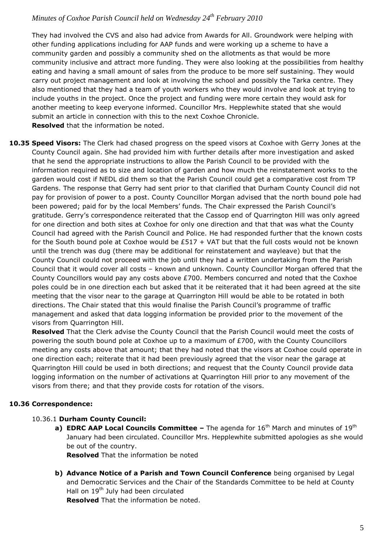They had involved the CVS and also had advice from Awards for All. Groundwork were helping with other funding applications including for AAP funds and were working up a scheme to have a community garden and possibly a community shed on the allotments as that would be more community inclusive and attract more funding. They were also looking at the possibilities from healthy eating and having a small amount of sales from the produce to be more self sustaining. They would carry out project management and look at involving the school and possibly the Tarka centre. They also mentioned that they had a team of youth workers who they would involve and look at trying to include youths in the project. Once the project and funding were more certain they would ask for another meeting to keep everyone informed. Councillor Mrs. Hepplewhite stated that she would submit an article in connection with this to the next Coxhoe Chronicle. **Resolved** that the information be noted.

**10.35 Speed Visors:** The Clerk had chased progress on the speed visors at Coxhoe with Gerry Jones at the County Council again. She had provided him with further details after more investigation and asked that he send the appropriate instructions to allow the Parish Council to be provided with the information required as to size and location of garden and how much the reinstatement works to the garden would cost if NEDL did them so that the Parish Council could get a comparative cost from TP Gardens. The response that Gerry had sent prior to that clarified that Durham County Council did not pay for provision of power to a post. County Councillor Morgan advised that the north bound pole had been powered; paid for by the local Members' funds. The Chair expressed the Parish Council's gratitude. Gerry's correspondence reiterated that the Cassop end of Quarrington Hill was only agreed for one direction and both sites at Coxhoe for only one direction and that that was what the County Council had agreed with the Parish Council and Police. He had responded further that the known costs for the South bound pole at Coxhoe would be  $£517 + VAT$  but that the full costs would not be known until the trench was dug (there may be additional for reinstatement and wayleave) but that the County Council could not proceed with the job until they had a written undertaking from the Parish Council that it would cover all costs – known and unknown. County Councillor Morgan offered that the County Councillors would pay any costs above £700. Members concurred and noted that the Coxhoe poles could be in one direction each but asked that it be reiterated that it had been agreed at the site meeting that the visor near to the garage at Quarrington Hill would be able to be rotated in both directions. The Chair stated that this would finalise the Parish Council's programme of traffic management and asked that data logging information be provided prior to the movement of the visors from Quarrington Hill.

**Resolved** That the Clerk advise the County Council that the Parish Council would meet the costs of powering the south bound pole at Coxhoe up to a maximum of £700, with the County Councillors meeting any costs above that amount; that they had noted that the visors at Coxhoe could operate in one direction each; reiterate that it had been previously agreed that the visor near the garage at Quarrington Hill could be used in both directions; and request that the County Council provide data logging information on the number of activations at Quarrington Hill prior to any movement of the visors from there; and that they provide costs for rotation of the visors.

## **10.36 Correspondence:**

### 10.36.1 **Durham County Council:**

**a) EDRC AAP Local Councils Committee –** The agenda for 16<sup>th</sup> March and minutes of 19<sup>th</sup> January had been circulated. Councillor Mrs. Hepplewhite submitted apologies as she would be out of the country.

**Resolved** That the information be noted

**b) Advance Notice of a Parish and Town Council Conference** being organised by Legal and Democratic Services and the Chair of the Standards Committee to be held at County Hall on 19<sup>th</sup> July had been circulated

**Resolved** That the information be noted.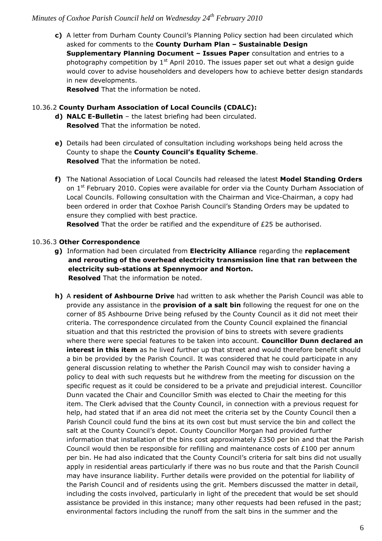**c)** A letter from Durham County Council's Planning Policy section had been circulated which asked for comments to the **County Durham Plan – Sustainable Design Supplementary Planning Document – Issues Paper** consultation and entries to a photography competition by  $1<sup>st</sup>$  April 2010. The issues paper set out what a design quide would cover to advise householders and developers how to achieve better design standards in new developments.

**Resolved** That the information be noted.

#### 10.36.2 **County Durham Association of Local Councils (CDALC):**

- **d) NALC E-Bulletin**  the latest briefing had been circulated. **Resolved** That the information be noted.
- **e)** Details had been circulated of consultation including workshops being held across the County to shape the **County Council's Equality Scheme**. **Resolved** That the information be noted.
- **f)** The National Association of Local Councils had released the latest **Model Standing Orders**  on 1<sup>st</sup> February 2010. Copies were available for order via the County Durham Association of Local Councils. Following consultation with the Chairman and Vice-Chairman, a copy had been ordered in order that Coxhoe Parish Council's Standing Orders may be updated to ensure they complied with best practice.

**Resolved** That the order be ratified and the expenditure of £25 be authorised.

#### 10.36.3 **Other Correspondence**

- **g)** Information had been circulated from **Electricity Alliance** regarding the **replacement and rerouting of the overhead electricity transmission line that ran between the electricity sub-stations at Spennymoor and Norton. Resolved** That the information be noted.
- **h)** A **resident of Ashbourne Drive** had written to ask whether the Parish Council was able to provide any assistance in the **provision of a salt bin** following the request for one on the corner of 85 Ashbourne Drive being refused by the County Council as it did not meet their criteria. The correspondence circulated from the County Council explained the financial situation and that this restricted the provision of bins to streets with severe gradients where there were special features to be taken into account. **Councillor Dunn declared an interest in this item** as he lived further up that street and would therefore benefit should a bin be provided by the Parish Council. It was considered that he could participate in any general discussion relating to whether the Parish Council may wish to consider having a policy to deal with such requests but he withdrew from the meeting for discussion on the specific request as it could be considered to be a private and prejudicial interest. Councillor Dunn vacated the Chair and Councillor Smith was elected to Chair the meeting for this item. The Clerk advised that the County Council, in connection with a previous request for help, had stated that if an area did not meet the criteria set by the County Council then a Parish Council could fund the bins at its own cost but must service the bin and collect the salt at the County Council's depot. County Councillor Morgan had provided further information that installation of the bins cost approximately £350 per bin and that the Parish Council would then be responsible for refilling and maintenance costs of £100 per annum per bin. He had also indicated that the County Council's criteria for salt bins did not usually apply in residential areas particularly if there was no bus route and that the Parish Council may have insurance liability. Further details were provided on the potential for liability of the Parish Council and of residents using the grit. Members discussed the matter in detail, including the costs involved, particularly in light of the precedent that would be set should assistance be provided in this instance; many other requests had been refused in the past; environmental factors including the runoff from the salt bins in the summer and the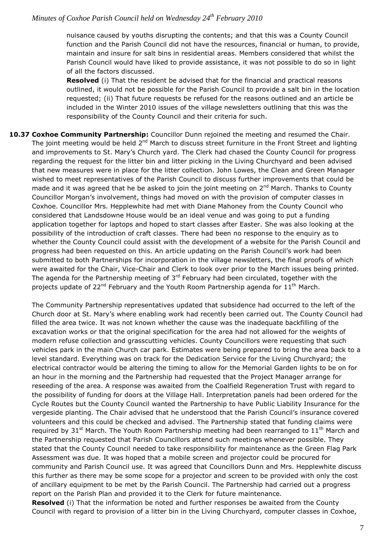nuisance caused by youths disrupting the contents; and that this was a County Council function and the Parish Council did not have the resources, financial or human, to provide, maintain and insure for salt bins in residential areas. Members considered that whilst the Parish Council would have liked to provide assistance, it was not possible to do so in light of all the factors discussed.

**Resolved** (i) That the resident be advised that for the financial and practical reasons outlined, it would not be possible for the Parish Council to provide a salt bin in the location requested; (ii) That future requests be refused for the reasons outlined and an article be included in the Winter 2010 issues of the village newsletters outlining that this was the responsibility of the County Council and their criteria for such.

**10.37 Coxhoe Community Partnership:** Councillor Dunn rejoined the meeting and resumed the Chair. The joint meeting would be held  $2^{nd}$  March to discuss street furniture in the Front Street and lighting and improvements to St. Mary's Church yard. The Clerk had chased the County Council for progress regarding the request for the litter bin and litter picking in the Living Churchyard and been advised that new measures were in place for the litter collection. John Lowes, the Clean and Green Manager wished to meet representatives of the Parish Council to discuss further improvements that could be made and it was agreed that he be asked to join the joint meeting on  $2^{nd}$  March. Thanks to County Councillor Morgan's involvement, things had moved on with the provision of computer classes in Coxhoe. Councillor Mrs. Hepplewhite had met with Diane Mahoney from the County Council who considered that Landsdowne House would be an ideal venue and was going to put a funding application together for laptops and hoped to start classes after Easter. She was also looking at the possibility of the introduction of craft classes. There had been no response to the enquiry as to whether the County Council could assist with the development of a website for the Parish Council and progress had been requested on this. An article updating on the Parish Council's work had been submitted to both Partnerships for incorporation in the village newsletters, the final proofs of which were awaited for the Chair, Vice-Chair and Clerk to look over prior to the March issues being printed. The agenda for the Partnership meeting of  $3<sup>rd</sup>$  February had been circulated, together with the projects update of  $22^{nd}$  February and the Youth Room Partnership agenda for  $11^{th}$  March.

The Community Partnership representatives updated that subsidence had occurred to the left of the Church door at St. Mary's where enabling work had recently been carried out. The County Council had filled the area twice. It was not known whether the cause was the inadequate backfilling of the excavation works or that the original specification for the area had not allowed for the weights of modern refuse collection and grasscutting vehicles. County Councillors were requesting that such vehicles park in the main Church car park. Estimates were being prepared to bring the area back to a level standard. Everything was on track for the Dedication Service for the Living Churchyard; the electrical contractor would be altering the timing to allow for the Memorial Garden lights to be on for an hour in the morning and the Partnership had requested that the Project Manager arrange for reseeding of the area. A response was awaited from the Coalfield Regeneration Trust with regard to the possibility of funding for doors at the Village Hall. Interpretation panels had been ordered for the Cycle Routes but the County Council wanted the Partnership to have Public Liability Insurance for the vergeside planting. The Chair advised that he understood that the Parish Council's insurance covered volunteers and this could be checked and advised. The Partnership stated that funding claims were required by 31<sup>st</sup> March. The Youth Room Partnership meeting had been rearranged to 11<sup>th</sup> March and the Partnership requested that Parish Councillors attend such meetings whenever possible. They stated that the County Council needed to take responsibility for maintenance as the Green Flag Park Assessment was due. It was hoped that a mobile screen and projector could be procured for community and Parish Council use. It was agreed that Councillors Dunn and Mrs. Hepplewhite discuss this further as there may be some scope for a projector and screen to be provided with only the cost of ancillary equipment to be met by the Parish Council. The Partnership had carried out a progress report on the Parish Plan and provided it to the Clerk for future maintenance.

**Resolved** (i) That the information be noted and further responses be awaited from the County Council with regard to provision of a litter bin in the Living Churchyard, computer classes in Coxhoe,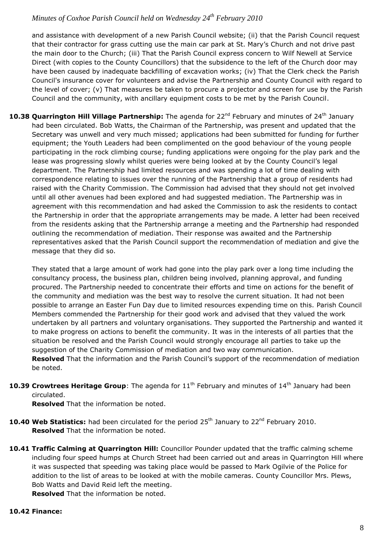and assistance with development of a new Parish Council website; (ii) that the Parish Council request that their contractor for grass cutting use the main car park at St. Mary's Church and not drive past the main door to the Church; (iii) That the Parish Council express concern to Wilf Newell at Service Direct (with copies to the County Councillors) that the subsidence to the left of the Church door may have been caused by inadequate backfilling of excavation works; (iv) That the Clerk check the Parish Council's insurance cover for volunteers and advise the Partnership and County Council with regard to the level of cover; (v) That measures be taken to procure a projector and screen for use by the Parish Council and the community, with ancillary equipment costs to be met by the Parish Council.

10.38 Quarrington Hill Village Partnership: The agenda for 22<sup>nd</sup> February and minutes of 24<sup>th</sup> January had been circulated. Bob Watts, the Chairman of the Partnership, was present and updated that the Secretary was unwell and very much missed; applications had been submitted for funding for further equipment; the Youth Leaders had been complimented on the good behaviour of the young people participating in the rock climbing course; funding applications were ongoing for the play park and the lease was progressing slowly whilst queries were being looked at by the County Council's legal department. The Partnership had limited resources and was spending a lot of time dealing with correspondence relating to issues over the running of the Partnership that a group of residents had raised with the Charity Commission. The Commission had advised that they should not get involved until all other avenues had been explored and had suggested mediation. The Partnership was in agreement with this recommendation and had asked the Commission to ask the residents to contact the Partnership in order that the appropriate arrangements may be made. A letter had been received from the residents asking that the Partnership arrange a meeting and the Partnership had responded outlining the recommendation of mediation. Their response was awaited and the Partnership representatives asked that the Parish Council support the recommendation of mediation and give the message that they did so.

They stated that a large amount of work had gone into the play park over a long time including the consultancy process, the business plan, children being involved, planning approval, and funding procured. The Partnership needed to concentrate their efforts and time on actions for the benefit of the community and mediation was the best way to resolve the current situation. It had not been possible to arrange an Easter Fun Day due to limited resources expending time on this. Parish Council Members commended the Partnership for their good work and advised that they valued the work undertaken by all partners and voluntary organisations. They supported the Partnership and wanted it to make progress on actions to benefit the community. It was in the interests of all parties that the situation be resolved and the Parish Council would strongly encourage all parties to take up the suggestion of the Charity Commission of mediation and two way communication. **Resolved** That the information and the Parish Council's support of the recommendation of mediation

be noted.

**10.39 Crowtrees Heritage Group**: The agenda for 11<sup>th</sup> February and minutes of 14<sup>th</sup> January had been circulated.

**Resolved** That the information be noted.

- **10.40 Web Statistics:** had been circulated for the period 25<sup>th</sup> January to 22<sup>nd</sup> February 2010. **Resolved** That the information be noted.
- **10.41 Traffic Calming at Quarrington Hill:** Councillor Pounder updated that the traffic calming scheme including four speed humps at Church Street had been carried out and areas in Quarrington Hill where it was suspected that speeding was taking place would be passed to Mark Ogilvie of the Police for addition to the list of areas to be looked at with the mobile cameras. County Councillor Mrs. Plews, Bob Watts and David Reid left the meeting. **Resolved** That the information be noted.

**10.42 Finance:**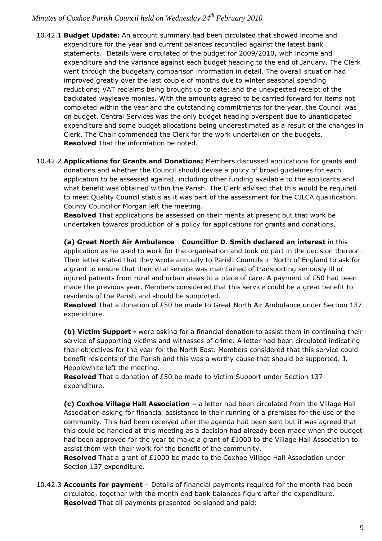- 10.42.1 **Budget Update:** An account summary had been circulated that showed income and expenditure for the year and current balances reconciled against the latest bank statements. Details were circulated of the budget for 2009/2010, with income and expenditure and the variance against each budget heading to the end of January. The Clerk went through the budgetary comparison information in detail. The overall situation had improved greatly over the last couple of months due to winter seasonal spending reductions; VAT reclaims being brought up to date; and the unexpected receipt of the backdated wayleave monies. With the amounts agreed to be carried forward for items not completed within the year and the outstanding commitments for the year, the Council was on budget. Central Services was the only budget heading overspent due to unanticipated expenditure and some budget allocations being underestimated as a result of the changes in Clerk. The Chair commended the Clerk for the work undertaken on the budgets. **Resolved** That the information be noted.
- 10.42.2 **Applications for Grants and Donations:** Members discussed applications for grants and donations and whether the Council should devise a policy of broad guidelines for each application to be assessed against, including other funding available to the applicants and what benefit was obtained within the Parish. The Clerk advised that this would be required to meet Quality Council status as it was part of the assessment for the CILCA qualification. County Councillor Morgan left the meeting.

**Resolved** That applications be assessed on their merits at present but that work be undertaken towards production of a policy for applications for grants and donations.

**(a) Great North Air Ambulance** - **Councillor D. Smith declared an interest** in this application as he used to work for the organisation and took no part in the decision thereon. Their letter stated that they wrote annually to Parish Councils in North of England to ask for a grant to ensure that their vital service was maintained of transporting seriously ill or injured patients from rural and urban areas to a place of care. A payment of  $£50$  had been made the previous year. Members considered that this service could be a great benefit to residents of the Parish and should be supported.

**Resolved** That a donation of £50 be made to Great North Air Ambulance under Section 137 expenditure.

**(b) Victim Support -** were asking for a financial donation to assist them in continuing their service of supporting victims and witnesses of crime. A letter had been circulated indicating their objectives for the year for the North East. Members considered that this service could benefit residents of the Parish and this was a worthy cause that should be supported. J. Hepplewhite left the meeting.

**Resolved** That a donation of £50 be made to Victim Support under Section 137 expenditure.

**(c) Coxhoe Village Hall Association –** a letter had been circulated from the Village Hall Association asking for financial assistance in their running of a premises for the use of the community. This had been received after the agenda had been sent but it was agreed that this could be handled at this meeting as a decision had already been made when the budget had been approved for the year to make a grant of £1000 to the Village Hall Association to assist them with their work for the benefit of the community.

**Resolved** That a grant of £1000 be made to the Coxhoe Village Hall Association under Section 137 expenditure.

10.42.3 **Accounts for payment** – Details of financial payments required for the month had been circulated, together with the month end bank balances figure after the expenditure. **Resolved** That all payments presented be signed and paid: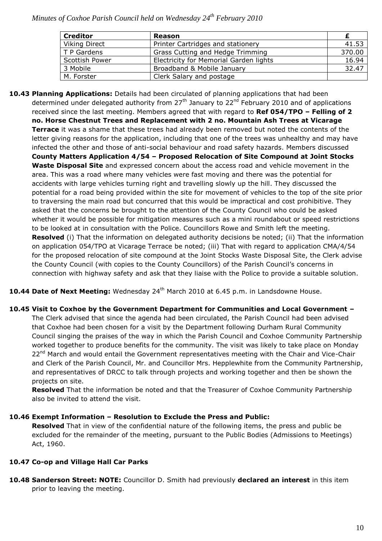| <b>Creditor</b>      | Reason                                 |        |
|----------------------|----------------------------------------|--------|
| <b>Viking Direct</b> | Printer Cartridges and stationery      | 41.53  |
| T P Gardens          | Grass Cutting and Hedge Trimming       | 370.00 |
| Scottish Power       | Electricity for Memorial Garden lights | 16.94  |
| 3 Mobile             | Broadband & Mobile January             | 32.47  |
| M. Forster           | Clerk Salary and postage               |        |

**10.43 Planning Applications:** Details had been circulated of planning applications that had been determined under delegated authority from  $27<sup>th</sup>$  January to  $22<sup>nd</sup>$  February 2010 and of applications received since the last meeting. Members agreed that with regard to **Ref 054/TPO – Felling of 2 no. Horse Chestnut Trees and Replacement with 2 no. Mountain Ash Trees at Vicarage Terrace** it was a shame that these trees had already been removed but noted the contents of the letter giving reasons for the application, including that one of the trees was unhealthy and may have infected the other and those of anti-social behaviour and road safety hazards. Members discussed **County Matters Application 4/54 – Proposed Relocation of Site Compound at Joint Stocks Waste Disposal Site** and expressed concern about the access road and vehicle movement in the area. This was a road where many vehicles were fast moving and there was the potential for accidents with large vehicles turning right and travelling slowly up the hill. They discussed the potential for a road being provided within the site for movement of vehicles to the top of the site prior to traversing the main road but concurred that this would be impractical and cost prohibitive. They asked that the concerns be brought to the attention of the County Council who could be asked whether it would be possible for mitigation measures such as a mini roundabout or speed restrictions to be looked at in consultation with the Police. Councillors Rowe and Smith left the meeting. **Resolved** (i) That the information on delegated authority decisions be noted; (ii) That the information on application 054/TPO at Vicarage Terrace be noted; (iii) That with regard to application CMA/4/54 for the proposed relocation of site compound at the Joint Stocks Waste Disposal Site, the Clerk advise the County Council (with copies to the County Councillors) of the Parish Council's concerns in connection with highway safety and ask that they liaise with the Police to provide a suitable solution.

10.44 Date of Next Meeting: Wednesday 24<sup>th</sup> March 2010 at 6.45 p.m. in Landsdowne House.

**10.45 Visit to Coxhoe by the Government Department for Communities and Local Government –** The Clerk advised that since the agenda had been circulated, the Parish Council had been advised that Coxhoe had been chosen for a visit by the Department following Durham Rural Community Council singing the praises of the way in which the Parish Council and Coxhoe Community Partnership worked together to produce benefits for the community. The visit was likely to take place on Monday 22<sup>nd</sup> March and would entail the Government representatives meeting with the Chair and Vice-Chair and Clerk of the Parish Council, Mr. and Councillor Mrs. Hepplewhite from the Community Partnership, and representatives of DRCC to talk through projects and working together and then be shown the projects on site.

**Resolved** That the information be noted and that the Treasurer of Coxhoe Community Partnership also be invited to attend the visit.

### **10.46 Exempt Information – Resolution to Exclude the Press and Public:**

**Resolved** That in view of the confidential nature of the following items, the press and public be excluded for the remainder of the meeting, pursuant to the Public Bodies (Admissions to Meetings) Act, 1960.

### **10.47 Co-op and Village Hall Car Parks**

**10.48 Sanderson Street: NOTE:** Councillor D. Smith had previously **declared an interest** in this item prior to leaving the meeting.